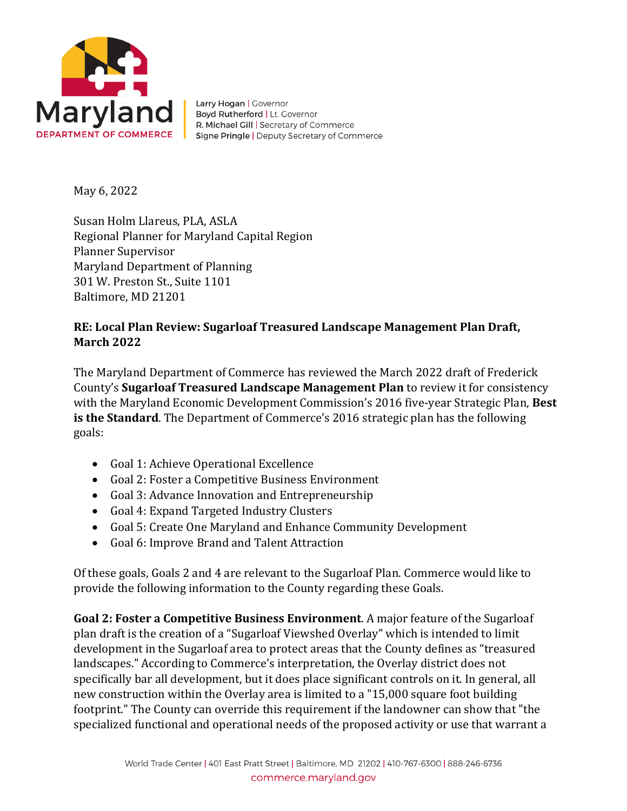

Larry Hogan | Governor Boyd Rutherford | Lt. Governor R. Michael Gill | Secretary of Commerce Signe Pringle | Deputy Secretary of Commerce

May 6, 2022

Susan Holm Llareus, PLA, ASLA Regional Planner for Maryland Capital Region Planner Supervisor Maryland Department of Planning 301 W. Preston St., Suite 1101 Baltimore, MD 21201

## **RE: Local Plan Review: Sugarloaf Treasured Landscape Management Plan Draft, March 2022**

The Maryland Department of Commerce has reviewed the March 2022 draft of Frederick County's **Sugarloaf Treasured Landscape Management Plan** to review it for consistency with the Maryland Economic Development Commission's 2016 five-year Strategic Plan, **Best is the Standard**. The Department of Commerce's 2016 strategic plan has the following goals:

- Goal 1: Achieve Operational Excellence
- Goal 2: Foster a Competitive Business Environment
- Goal 3: Advance Innovation and Entrepreneurship
- Goal 4: Expand Targeted Industry Clusters
- Goal 5: Create One Maryland and Enhance Community Development
- Goal 6: Improve Brand and Talent Attraction

Of these goals, Goals 2 and 4 are relevant to the Sugarloaf Plan. Commerce would like to provide the following information to the County regarding these Goals.

**Goal 2: Foster a Competitive Business Environment**. A major feature of the Sugarloaf plan draft is the creation of a "Sugarloaf Viewshed Overlay" which is intended to limit development in the Sugarloaf area to protect areas that the County defines as "treasured landscapes." According to Commerce's interpretation, the Overlay district does not specifically bar all development, but it does place significant controls on it. In general, all new construction within the Overlay area is limited to a "15,000 square foot building footprint." The County can override this requirement if the landowner can show that "the specialized functional and operational needs of the proposed activity or use that warrant a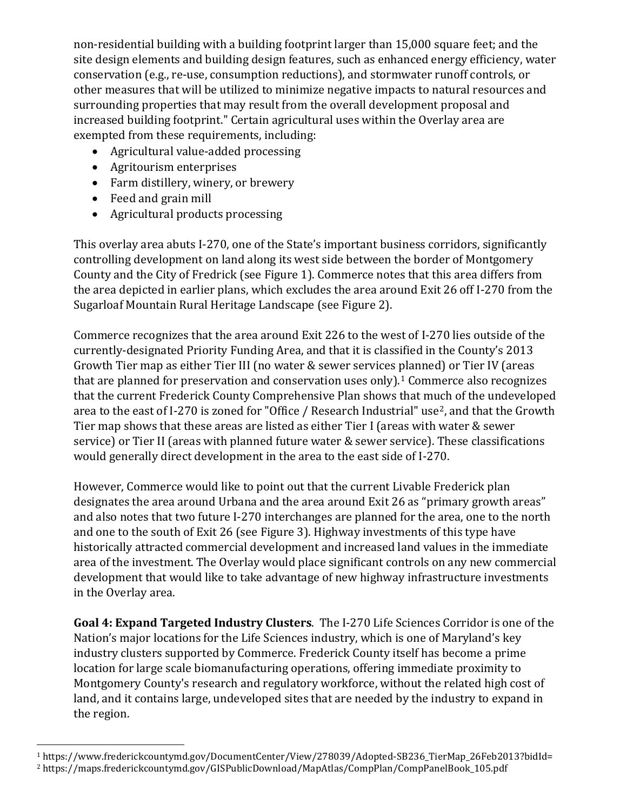non-residential building with a building footprint larger than 15,000 square feet; and the site design elements and building design features, such as enhanced energy efficiency, water conservation (e.g., re-use, consumption reductions), and stormwater runoff controls, or other measures that will be utilized to minimize negative impacts to natural resources and surrounding properties that may result from the overall development proposal and increased building footprint." Certain agricultural uses within the Overlay area are exempted from these requirements, including:

- Agricultural value-added processing
- Agritourism enterprises
- Farm distillery, winery, or brewery
- Feed and grain mill
- Agricultural products processing

This overlay area abuts I-270, one of the State's important business corridors, significantly controlling development on land along its west side between the border of Montgomery County and the City of Fredrick (see Figure 1). Commerce notes that this area differs from the area depicted in earlier plans, which excludes the area around Exit 26 off I-270 from the Sugarloaf Mountain Rural Heritage Landscape (see Figure 2).

Commerce recognizes that the area around Exit 226 to the west of I-270 lies outside of the currently-designated Priority Funding Area, and that it is classified in the County's 2013 Growth Tier map as either Tier III (no water & sewer services planned) or Tier IV (areas that are planned for preservation and conservation uses only).<sup>[1](#page-1-0)</sup> Commerce also recognizes that the current Frederick County Comprehensive Plan shows that much of the undeveloped area to the east of I-[2](#page-1-1)70 is zoned for "Office / Research Industrial" use<sup>2</sup>, and that the Growth Tier map shows that these areas are listed as either Tier I (areas with water & sewer service) or Tier II (areas with planned future water & sewer service). These classifications would generally direct development in the area to the east side of I-270.

However, Commerce would like to point out that the current Livable Frederick plan designates the area around Urbana and the area around Exit 26 as "primary growth areas" and also notes that two future I-270 interchanges are planned for the area, one to the north and one to the south of Exit 26 (see Figure 3). Highway investments of this type have historically attracted commercial development and increased land values in the immediate area of the investment. The Overlay would place significant controls on any new commercial development that would like to take advantage of new highway infrastructure investments in the Overlay area.

**Goal 4: Expand Targeted Industry Clusters**. The I-270 Life Sciences Corridor is one of the Nation's major locations for the Life Sciences industry, which is one of Maryland's key industry clusters supported by Commerce. Frederick County itself has become a prime location for large scale biomanufacturing operations, offering immediate proximity to Montgomery County's research and regulatory workforce, without the related high cost of land, and it contains large, undeveloped sites that are needed by the industry to expand in the region.

<span id="page-1-1"></span><span id="page-1-0"></span><sup>1</sup> https://www.frederickcountymd.gov/DocumentCenter/View/278039/Adopted-SB236\_TierMap\_26Feb2013?bidId= <sup>2</sup> https://maps.frederickcountymd.gov/GISPublicDownload/MapAtlas/CompPlan/CompPanelBook\_105.pdf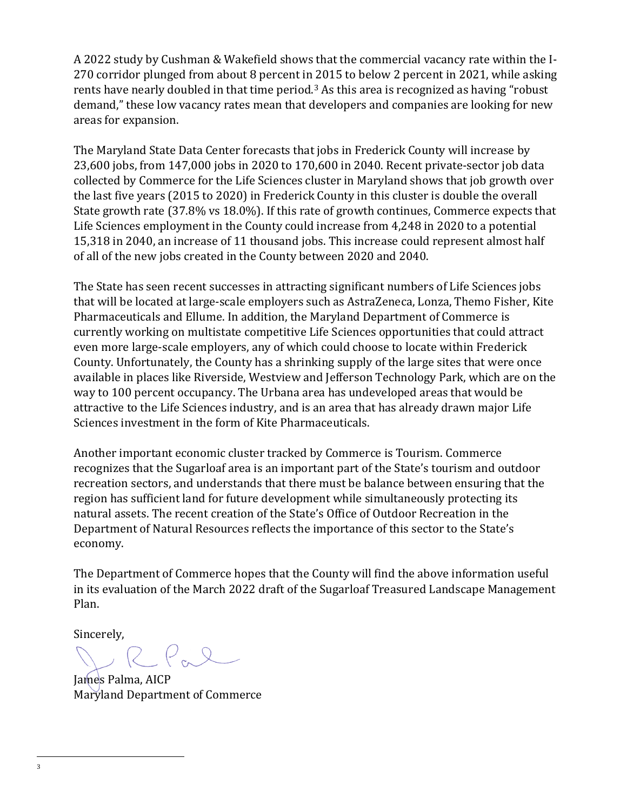A 2022 study by Cushman & Wakefield shows that the commercial vacancy rate within the I-270 corridor plunged from about 8 percent in 2015 to below 2 percent in 2021, while asking rents have nearly doubled in that time period.<sup>[3](#page-2-0)</sup> As this area is recognized as having "robust demand," these low vacancy rates mean that developers and companies are looking for new areas for expansion.

The Maryland State Data Center forecasts that jobs in Frederick County will increase by 23,600 jobs, from 147,000 jobs in 2020 to 170,600 in 2040. Recent private-sector job data collected by Commerce for the Life Sciences cluster in Maryland shows that job growth over the last five years (2015 to 2020) in Frederick County in this cluster is double the overall State growth rate (37.8% vs 18.0%). If this rate of growth continues, Commerce expects that Life Sciences employment in the County could increase from 4,248 in 2020 to a potential 15,318 in 2040, an increase of 11 thousand jobs. This increase could represent almost half of all of the new jobs created in the County between 2020 and 2040.

The State has seen recent successes in attracting significant numbers of Life Sciences jobs that will be located at large-scale employers such as AstraZeneca, Lonza, Themo Fisher, Kite Pharmaceuticals and Ellume. In addition, the Maryland Department of Commerce is currently working on multistate competitive Life Sciences opportunities that could attract even more large-scale employers, any of which could choose to locate within Frederick County. Unfortunately, the County has a shrinking supply of the large sites that were once available in places like Riverside, Westview and Jefferson Technology Park, which are on the way to 100 percent occupancy. The Urbana area has undeveloped areas that would be attractive to the Life Sciences industry, and is an area that has already drawn major Life Sciences investment in the form of Kite Pharmaceuticals.

Another important economic cluster tracked by Commerce is Tourism. Commerce recognizes that the Sugarloaf area is an important part of the State's tourism and outdoor recreation sectors, and understands that there must be balance between ensuring that the region has sufficient land for future development while simultaneously protecting its natural assets. The recent creation of the State's Office of Outdoor Recreation in the Department of Natural Resources reflects the importance of this sector to the State's economy.

The Department of Commerce hopes that the County will find the above information useful in its evaluation of the March 2022 draft of the Sugarloaf Treasured Landscape Management Plan.

Sincerely,

 $2.92$ 

<span id="page-2-0"></span>James Palma, AICP Maryland Department of Commerce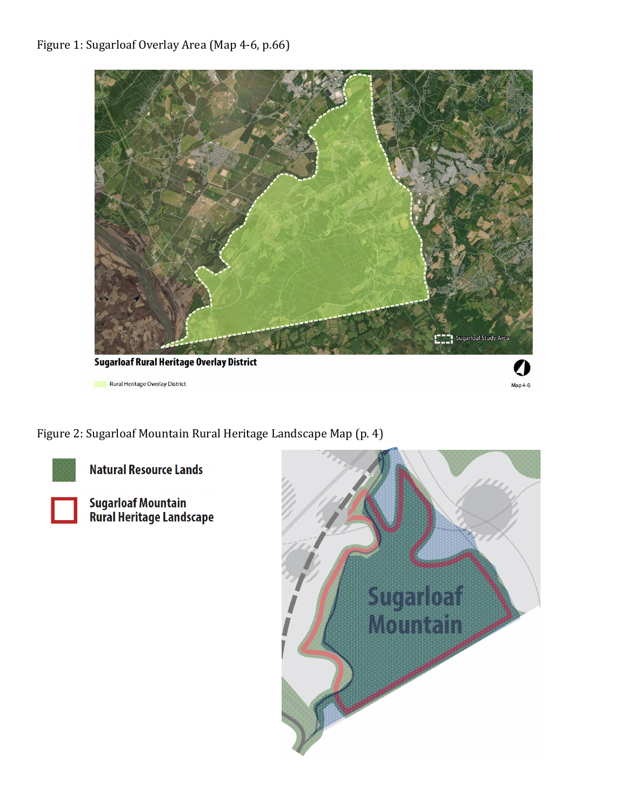

Rural Heritage Overlay District



Figure 2: Sugarloaf Mountain Rural Heritage Landscape Map (p. 4)



**Natural Resource Lands** 

Sugarloaf Mountain<br>Rural Heritage Landscape